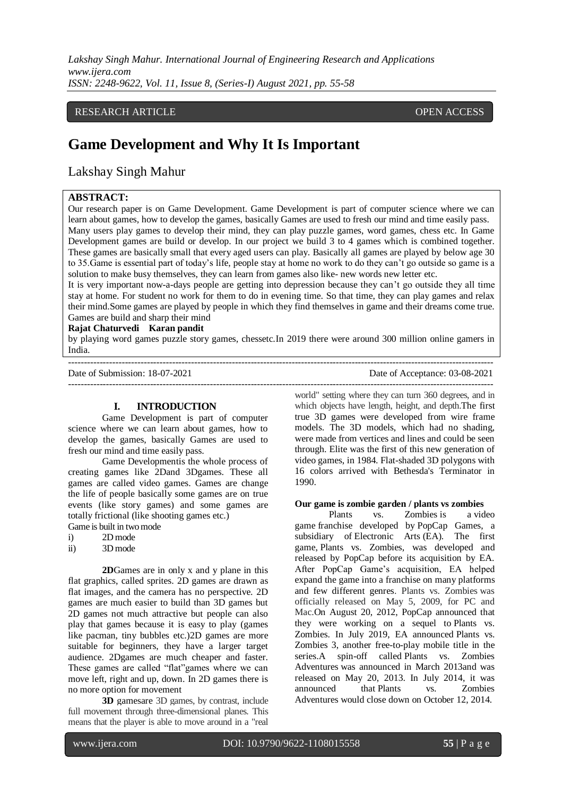*Lakshay Singh Mahur. International Journal of Engineering Research and Applications www.ijera.com ISSN: 2248-9622, Vol. 11, Issue 8, (Series-I) August 2021, pp. 55-58*

#### RESEARCH ARTICLE **CONTRACT ARTICLE** AND A SERVICE OPEN ACCESS OPEN ACCESS

## **Game Development and Why It Is Important**

### Lakshay Singh Mahur

#### **ABSTRACT:**

Our research paper is on Game Development. Game Development is part of computer science where we can learn about games, how to develop the games, basically Games are used to fresh our mind and time easily pass. Many users play games to develop their mind, they can play puzzle games, word games, chess etc. In Game Development games are build or develop. In our project we build 3 to 4 games which is combined together. These games are basically small that every aged users can play. Basically all games are played by below age 30 to 35.Game is essential part of today's life, people stay at home no work to do they can't go outside so game is a solution to make busy themselves, they can learn from games also like- new words new letter etc.

It is very important now-a-days people are getting into depression because they can't go outside they all time stay at home. For student no work for them to do in evening time. So that time, they can play games and relax their mind.Some games are played by people in which they find themselves in game and their dreams come true. Games are build and sharp their mind

#### **Rajat Chaturvedi Karan pandit**

by playing word games puzzle story games, chessetc.In 2019 there were around 300 million online gamers in India.

Date of Submission: 18-07-2021 Date of Acceptance: 03-08-2021

# ---------------------------------------------------------------------------------------------------------------------------------------

**I. INTRODUCTION**

Game Development is part of computer science where we can learn about games, how to develop the games, basically Games are used to fresh our mind and time easily pass.

Game Developmentis the whole process of creating games like 2Dand 3Dgames. These all games are called video games. Games are change the life of people basically some games are on true events (like story games) and some games are totally frictional (like shooting games etc.) Game is built in two mode

- i) 2D mode
- ii) 3D mode

**2D**Games are in only x and y plane in this flat graphics, called sprites. 2D games are drawn as flat images, and the camera has no perspective. 2D games are much easier to build than 3D games but 2D games not much attractive but people can also play that games because it is easy to play (games like pacman, tiny bubbles etc.)2D games are more suitable for beginners, they have a larger target audience. 2Dgames are much cheaper and faster. These games are called "flat"games where we can move left, right and up, down. In 2D games there is no more option for movement

**3D** gamesare 3D games, by contrast, include full movement through three-dimensional planes. This means that the player is able to move around in a "real world" setting where they can turn 360 degrees, and in which objects have length, height, and depth.The first true 3D games were developed from wire frame models. The 3D models, which had no shading, were made from vertices and lines and could be seen through. Elite was the first of this new generation of video games, in 1984. Flat-shaded 3D polygons with 16 colors arrived with Bethesda's Terminator in 1990.

#### **Our game is zombie garden / plants vs zombies**

Plants vs. Zombies is a [video](https://en.wikipedia.org/wiki/Video_game)  [game](https://en.wikipedia.org/wiki/Video_game) franchise developed by [PopCap Games,](https://en.wikipedia.org/wiki/PopCap_Games) a subsidiary of [Electronic Arts](https://en.wikipedia.org/wiki/Electronic_Arts) (EA). The first game, [Plants vs. Zombies,](https://en.wikipedia.org/wiki/Plants_vs._Zombies_(video_game)) was developed and released by PopCap before its acquisition by EA. After PopCap Game's acquisition, EA helped expand the game into a franchise on many platforms and few different genres. Plants vs. Zombies was officially released on May 5, 2009, for PC and Mac.On August 20, 2012, PopCap announced that they were working on a sequel to Plants vs. Zombies. In July 2019, EA announced Plants vs. Zombies 3, another free-to-play mobile title in the series.A spin-off called Plants vs. Zombies Adventures was announced in March 2013and was released on May 20, 2013. In July 2014, it was announced that Plants vs. Zombies Adventures would close down on October 12, 2014.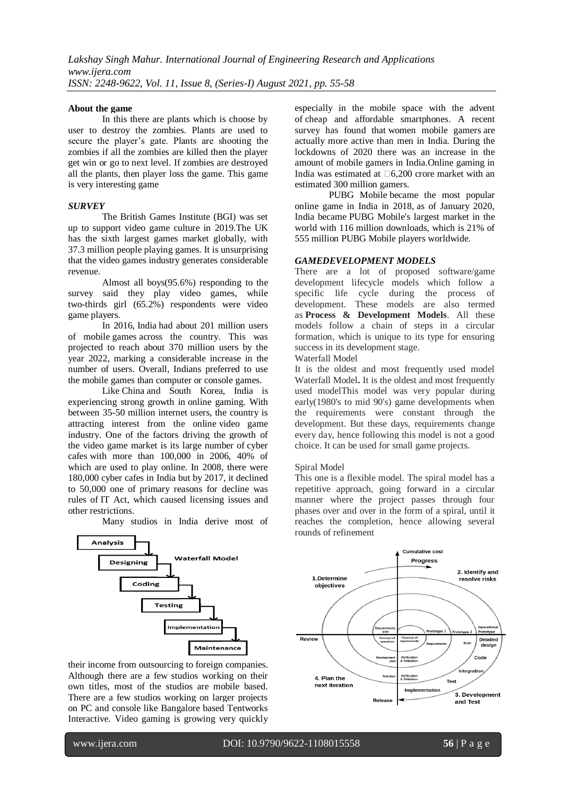#### **About the game**

In this there are plants which is choose by user to destroy the zombies. Plants are used to secure the player's gate. Plants are shooting the zombies if all the zombies are killed then the player get win or go to next level. If zombies are destroyed all the plants, then player loss the game. This game is very interesting game

#### *SURVEY*

The British Games Institute (BGI) was set up to support video game culture in 2019.The UK has the sixth largest games market globally, with 37.3 million people playing games. It is unsurprising that the video games industry generates considerable revenue.

Almost all boys(95.6%) responding to the survey said they play video games, while two-thirds girl (65.2%) respondents were video game players.

In 2016, India had about 201 million users of mobile games across the country. This was projected to reach about 370 million users by the year 2022, marking a considerable increase in the number of users. Overall, Indians preferred to use the mobile games than computer or console games.

Like [China](https://en.wikipedia.org/wiki/China) and South Korea, India is experiencing strong growth in [online gaming.](https://en.wikipedia.org/wiki/Online_game) With between 35-50 million internet users, the country is attracting interest from the online [video game](https://en.wikipedia.org/wiki/Video_game_industry)  [industry.](https://en.wikipedia.org/wiki/Video_game_industry) One of the factors driving the growth of the video game market is its large number of [cyber](https://en.wikipedia.org/wiki/Cyber_caf%C3%A9s)  [cafes](https://en.wikipedia.org/wiki/Cyber_caf%C3%A9s) with more than 100,000 in 2006, 40% of which are used to play online. In 2008, there were 180,000 cyber cafes in India but by 2017, it declined to 50,000 one of primary reasons for decline was rules of [IT Act,](https://en.wikipedia.org/wiki/Information_Technology_Act,_2000) which caused licensing issues and other restrictions.

Many studios in India derive most of



their [income](https://en.wikipedia.org/wiki/Income) from [outsourcing](https://en.wikipedia.org/wiki/Outsourcing) to foreign companies. Although there are a few studios working on their own titles, most of the studios are mobile based. There are a few studios working on larger projects on PC and console like Bangalore based Tentworks Interactive. Video gaming is growing very quickly especially in the mobile space with the advent of [cheap and affordable smartphones.](https://en.wikipedia.org/wiki/Smartphone) A recent survey has found that [women mobile gamers](https://en.wikipedia.org/wiki/Mobile_gaming) are actually more active than men in India. During the lockdowns of 2020 there was an increase in the amount of mobile gamers in India.Online gaming in India was estimated at  $\Box 6,200$  crore market with an estimated 300 million gamers.

[PUBG Mobile](https://en.wikipedia.org/wiki/PUBG_Mobile) became the most popular online game in India in 2018, as of January 2020, India became PUBG Mobile's largest market in the world with 116 million downloads, which is 21% of 555 million PUBG Mobile players worldwide.

#### *GAMEDEVELOPMENT MODELS*

There are a lot of proposed software/game development lifecycle models which follow a specific life cycle during the process of development. These models are also termed as **Process & Development Models**. All these models follow a chain of steps in a circular formation, which is unique to its type for ensuring success in its development stage.

Waterfall Model

It is the oldest and most frequently used model Waterfall Model**.** It is the oldest and most frequently used modelThis model was very popular during early(1980's to mid 90's) game developments when the requirements were constant through the development. But these days, requirements change every day, hence following this model is not a good choice. It can be used for small game projects.

#### Spiral Model

This one is a flexible model. The spiral model has a repetitive approach, going forward in a circular manner where the project passes through four phases over and over in the form of a spiral, until it reaches the completion, hence allowing several rounds of refinement



www.ijera.com DOI: 10.9790/9622-1108015558 **56** | P a g e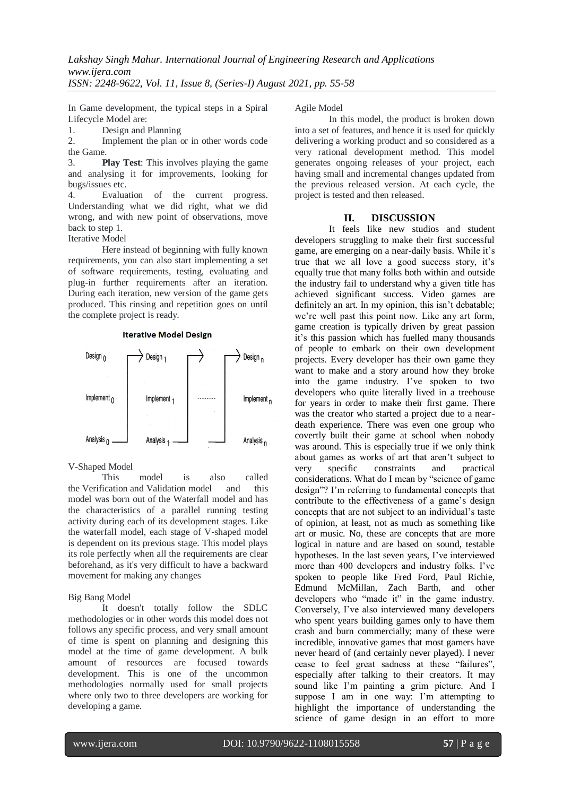In Game development, the typical steps in a Spiral Lifecycle Model are:

1. Design and Planning

2. Implement the plan or in other words code the Game.

3. **Play Test**: This involves playing the game and analysing it for improvements, looking for bugs/issues etc.

4. Evaluation of the current progress. Understanding what we did right, what we did wrong, and with new point of observations, move back to step 1.

Iterative Model

Here instead of beginning with fully known requirements, you can also start implementing a set of software requirements, testing, evaluating and plug-in further requirements after an iteration. During each iteration, new version of the game gets produced. This rinsing and repetition goes on until the complete project is ready.



**Iterative Model Design** 

V-Shaped Model

This model is also called the Verification and Validation model and this model was born out of the Waterfall model and has the characteristics of a parallel running testing activity during each of its development stages. Like the waterfall model, each stage of V-shaped model is dependent on its previous stage. This model plays its role perfectly when all the requirements are clear beforehand, as it's very difficult to have a backward movement for making any changes

Big Bang Model

It doesn't totally follow the SDLC methodologies or in other words this model does not follows any specific process, and very small amount of time is spent on planning and designing this model at the time of game development. A bulk amount of resources are focused towards development. This is one of the uncommon methodologies normally used for small projects where only two to three developers are working for developing a game.

Agile Model

In this model, the product is broken down into a set of features, and hence it is used for quickly delivering a working product and so considered as a very rational development method. This model generates ongoing releases of your project, each having small and incremental changes updated from the previous released version. At each cycle, the project is tested and then released.

#### **II. DISCUSSION**

It feels like new studios and student developers struggling to make their first successful game, are emerging on a near-daily basis. While it's true that we all love a good success story, it's equally true that many folks both within and outside the industry fail to understand why a given title has achieved significant success. Video games are definitely an art. In my opinion, this isn't debatable; we're well past this point now. Like any art form, game creation is typically driven by great passion it's this passion which has fuelled many thousands of people to embark on their own development projects. Every developer has their own game they want to make and a story around how they broke into the game industry. I've spoken to two developers who quite literally lived in a treehouse for years in order to make their first game. There was the creator who started a project due to a neardeath experience. There was even one group who covertly built their game at school when nobody was around. This is especially true if we only think about games as works of art that aren't subject to very specific constraints and practical considerations. What do I mean by "science of game design"? I'm referring to fundamental concepts that contribute to the effectiveness of a game's design concepts that are not subject to an individual's taste of opinion, at least, not as much as something like art or music. No, these are concepts that are more logical in nature and are based on sound, testable hypotheses. In the last seven years, I've interviewed more than 400 developers and industry folks. I've spoken to people like Fred Ford, Paul Richie, Edmund McMillan, Zach Barth, and other developers who "made it" in the game industry. Conversely, I've also interviewed many developers who spent years building games only to have them crash and burn commercially; many of these were incredible, innovative games that most gamers have never heard of (and certainly never played). I never cease to feel great sadness at these "failures", especially after talking to their creators. It may sound like I'm painting a grim picture. And I suppose I am in one way: I'm attempting to highlight the importance of understanding the science of game design in an effort to more